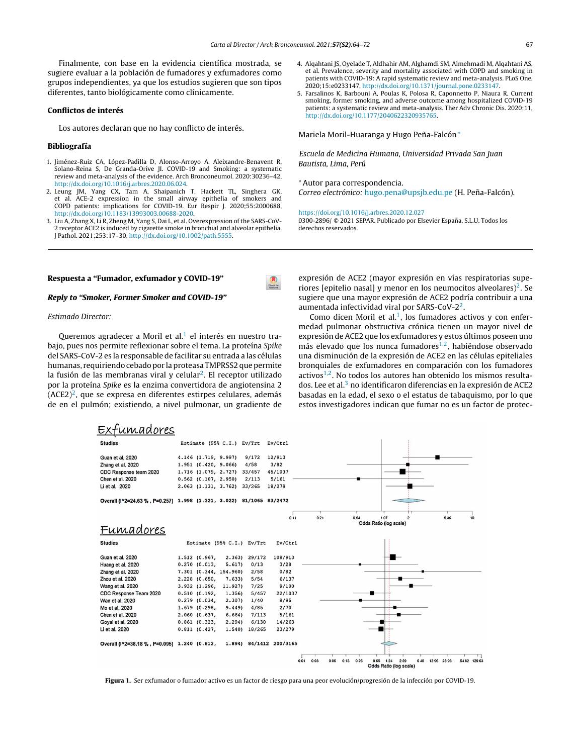⋒

<span id="page-0-0"></span>Finalmente, con base en la evidencia científica mostrada, se sugiere evaluar a la población de fumadores y exfumadores [como](http://crossmark.crossref.org/dialog/?doi=10.1016/j.arbres.2020.12.013&domain=pdf) grupos independientes, ya que los estudios sugieren que son tipos diferentes, tanto biológicamente como clínicamente.

## Conflictos de interés

Los autores declaran que no hay conflicto de interés.

## Bibliografía

- 1. Jiménez-Ruiz CA, López-Padilla D, Alonso-Arroyo A, Aleixandre-Benavent R, Solano-Reina S, De Granda-Orive JI. COVID-19 and Smoking: a systematic review and meta-analysis of the evidence. Arch Bronconeumol. 2020:3[0236–](http://crossmark.crossref.org/dialog/?doi=10.1016/j.arbres.2020.11.004&domain=pdf)42, [http://dx.doi.org/10.1016/j.arbres.2020.06.024.](dx.doi.org/10.1016/j.arbres.2020.06.024)
- 2. Leung JM, Yang CX, Tam A, [Shaipan](dx.doi.org/10.3329/jbcps.v38i0.47439)ich T, Hackett TL, Singhera GK, et al. ACE-2 expression in the small airway epithelia of smokers and COPD patients: implications for COVID-19. Eur Respir J. 2020;55:2000688, [http://dx.doi.org/10.1183/13993003.00688-2020](dx.doi.org/10.1183/13993003.00688-2020).
- 3. Liu A, Zhang X, Li R, [Zheng](dx.doi.org/10.5005/jp-journals-10018-1316) M, Yang S, Dai L, et al. Overexpression of the SARS-CoV-2 receptor ACE2 is induced by cigarette smoke in bronchial and alveolar epithelia. J Pathol. 2021;253:17–30, [http://dx.doi.org/10.1002/path.5555.](dx.doi.org/10.1002/path.5555)

## Respuesta a ["Fumador,](dx.doi.org/10.1056/NEJMoa2021436) exfumador y COVID-19"

#### Reply to "Smoker, Former Smoker and [COVID-19"](dx.doi.org/10.1016/j.antiviral.2020.104787)

## Estimado Director:

Queremos agradecer a Moril et al.<sup>[1](#page-1-0)</sup> el interés en nuestro trabajo, pues nos permite reflexionar sobre el tema. La proteína Spike del [SARS-CoV-2](dx.doi.org/10.1080/07391102.2020.1839564) es la responsable de facilitar su entrada a las células humanas, requiriendo cebado por la proteasa TMPRSS2 que permite la fusión de las membranas viral y celular $^2$  $^2$ . El receptor utilizado por la proteína Spike es la enzima convertidora de angiotensina 2  $(ACE2)^2$  $(ACE2)^2$  $(ACE2)^2$ , que se [expresa](dx.doi.org/10.1016/j.xphs.2020.08.024) en diferentes estirpes celulares, además de en el pulmón; existiendo, a nivel pulmonar, un gradiente de

- 4. Alqahtani JS, Oyelade T, Aldhahir AM, Alghamdi SM, Almehmadi M, Alqahtani AS, et al. Prevalence, severity and mortality associated with COPD and smoking in patients with COVID-19: A rapid [systematic](dx.doi.org/10.1038/s41429-020-0336-z) review and meta-analysis. PLoS One. 2020;15:e0233147, [http://dx.doi.org/10.1371/journal.pone.0233147](dx.doi.org/10.1371/journal.pone.0233147).
- 5. Farsalinos K, Barbouni A, Poulas K, Polosa R, Caponnetto P, [Niaura](https://ivmmeta.com/) R. Current smoking, former smoking, and adverse outcome among hospitalized COVID-19 patients: a systematic review and meta-analysis. Ther Adv Chronic Dis. 2020;11, [http://dx.doi.org/10.1177/2040622320935765.](dx.doi.org/10.1177/2040622320935765)

Mariela Moril-Huaranga y Hugo Peña-Falcón\*

Escuela de Medicina Humana, [Universidad](dx.doi.org/10.1001/jama.2020.16349) Privada San Juan Bautista, Lima, Perú

<sup>∗</sup> Autor para correspondencia. Correo electrónico: [hugo.pena@upsjb.edu.pe](mailto:hugo.pena@upsjb.edu.pe) (H. Peña-Falcón).

<https://doi.org/10.1016/j.arbres.2020.12.027>

0300-2896/ © 2021 SEPAR. Publicado por Elsevier España, S.L.U. Todos los derechos reservados.

expresión de ACE2 (mayor expresión en vías respiratorias superiores [epitelio nasal] y menor en los neumocitos alveolares $)^2$  $)^2$ . Se sugiere que una mayor expresión de ACE2 podría contribuir a una aumentada infectividad viral por SARS-CoV- $2^2$  $2^2$ .

Como dicen Moril et al.<sup>[1](#page-1-0)</sup>, los fumadores activos y con enfermedad pulmonar obstructiva crónica tienen un mayor nivel de expresión de ACE2 que los exfumadores y estos últimos poseen uno más elevado que los nunca fumadores<sup>[1,2](#page-1-0)</sup>, habiéndose observado una disminución de la expresión de ACE2 en las células epiteliales bronquiales de exfumadores en comparación con los fumadores activos<sup>[1,2](#page-1-0)</sup>. No todos los [autores](mailto:sakirul@m.ehime-u.ac.jp) han obtenido los mismos resulta[dos.](mailto:sakirul.khan@gmail.com) Lee et al.<sup>3</sup> [n](#page-1-0)o identificaron diferencias en la expresión de ACE2 basadas en la edad, el sexo o el estatus de tabaquismo, por lo que estos [investigadores](https://doi.org/10.1016/j.arbres.2020.12.013) indican que fumar no es un factor de protec-



Figura 1. Ser e[xfumador](https://doi.org/10.1016/j.arbres.2020.06.024) o fumador activo es un factor de riesgo para una peor evolución/progresión de la infección por COVID-19.